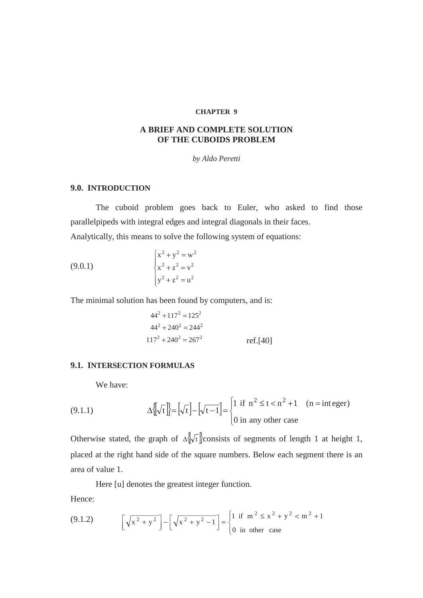#### **CHAPTER 9**

# **A BRIEF AND COMPLETE SOLUTION OF THE CUBOIDS PROBLEM**

#### *by Aldo Peretti*

# **9.0. INTRODUCTION**

The cuboid problem goes back to Euler, who asked to find those parallelpipeds with integral edges and integral diagonals in their faces. Analytically, this means to solve the following system of equations:

(9.0.1) 
$$
\begin{cases} x^2 + y^2 = w^2 \\ x^2 + z^2 = v^2 \\ y^2 + z^2 = u^2 \end{cases}
$$

The minimal solution has been found by computers, and is:

$$
442 + 1172 = 1252
$$
  

$$
442 + 2402 = 2442
$$
  

$$
1172 + 2402 = 2672
$$
ref.[40]

### **9.1. INTERSECTION FORMULAS**

We have:

(9.1.1) 
$$
\Delta \left[ \sqrt{t} \right] = \left[ \sqrt{t} \right] - \left[ \sqrt{t-1} \right] = \begin{cases} 1 & \text{if } n^2 \le t < n^2 + 1 \\ 0 & \text{in any other case} \end{cases} \quad (n = \text{integer})
$$

Otherwise stated, the graph of  $\Delta \sqrt{\{t\}}$  consists of segments of length 1 at height 1, placed at the right hand side of the square numbers. Below each segment there is an area of value 1.

Here [u] denotes the greatest integer function.

Hence:

(9.1.2) 
$$
\left[\sqrt{x^2 + y^2}\right] - \left[\sqrt{x^2 + y^2 - 1}\right] = \begin{cases} 1 & \text{if } m^2 \le x^2 + y^2 < m^2 + 1 \\ 0 & \text{in other case} \end{cases}
$$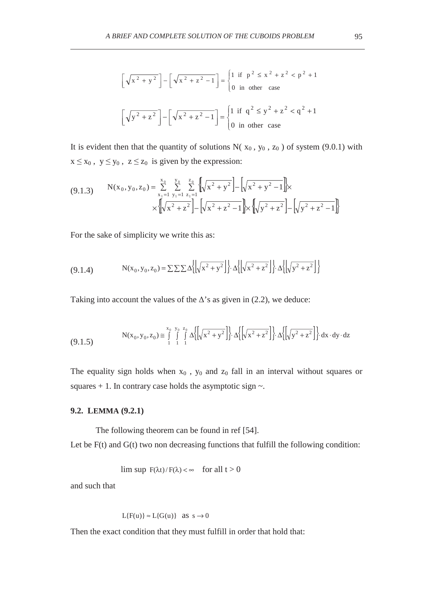$$
\[\sqrt{x^2 + y^2}\] - \[\sqrt{x^2 + z^2 - 1}\] = \begin{cases} 1 & \text{if } p^2 \le x^2 + z^2 < p^2 + 1 \\ 0 & \text{in other case} \end{cases}
$$
\n
$$
\[\sqrt{y^2 + z^2}\] - \[\sqrt{x^2 + z^2 - 1}\] = \begin{cases} 1 & \text{if } q^2 \le y^2 + z^2 < q^2 + 1 \\ 0 & \text{in other case} \end{cases}
$$

It is evident then that the quantity of solutions  $N(x_0, y_0, z_0)$  of system (9.0.1) with  $x \le x_0$ ,  $y \le y_0$ ,  $z \le z_0$  is given by the expression:

$$
(9.1.3) \qquad N(x_0, y_0, z_0) = \sum_{\substack{x_1 = 1 \ y_1 = 1}}^{x_0} \sum_{\substack{y_1 = 1 \ y_1 = 1}}^{y_0} \sum_{\substack{z_1 = 1 \ z_1 = 1}}^{z_0} \left[ \sqrt{x^2 + y^2} \right] - \left[ \sqrt{x^2 + y^2 - 1} \right] \times \left[ \sqrt{y^2 + z^2} \right] - \left[ \sqrt{y^2 + z^2 - 1} \right]
$$

For the sake of simplicity we write this as:

$$
(9.1.4) \tN(x_0, y_0, z_0) = \sum \sum \sum \Delta \left\{ \left| \sqrt{x^2 + y^2} \right| \right\} \cdot \Delta \left\{ \left| \sqrt{x^2 + z^2} \right| \right\} \cdot \Delta \left\{ \left| \sqrt{y^2 + z^2} \right| \right\}
$$

Taking into account the values of the  $\Delta$ 's as given in (2.2), we deduce:

$$
N(x_0, y_0, z_0) \cong \int_{1}^{x_0} \int_{1}^{y_0} \int_{1}^{z_0} \Delta \left\{ \left[ \sqrt{x^2 + y^2} \right] \right\} \cdot \Delta \left\{ \left[ \sqrt{x^2 + z^2} \right] \right\} \cdot \Delta \left\{ \left[ \sqrt{y^2 + z^2} \right] \right\} dx \cdot dy \cdot dz
$$

The equality sign holds when  $x_0$ ,  $y_0$  and  $z_0$  fall in an interval without squares or squares  $+ 1$ . In contrary case holds the asymptotic sign  $\sim$ .

#### **9.2. LEMMA (9.2.1)**

The following theorem can be found in ref [54].

Let be  $F(t)$  and  $G(t)$  two non decreasing functions that fulfill the following condition:

lim sup  $F(\lambda t)/F(\lambda) < \infty$  for all  $t > 0$ 

and such that

$$
L{F(u)} \approx L{G(u)} \text{ as } s \to 0
$$

Then the exact condition that they must fulfill in order that hold that: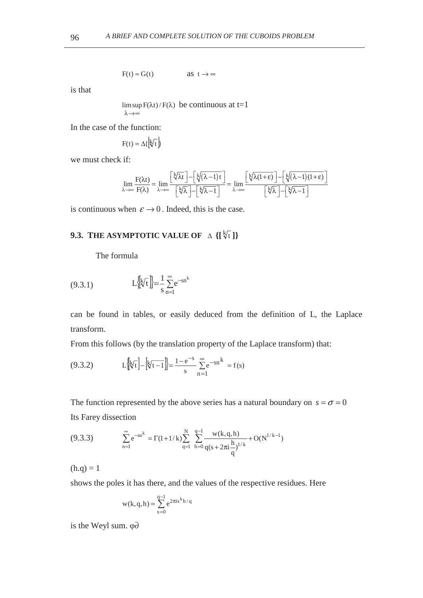$$
F(t) \approx G(t) \qquad \qquad \text{as } t \to \infty
$$

is that

$$
\limsup_{\lambda \to \infty} F(\lambda t) / F(\lambda)
$$
 be continuous at t=1

In the case of the function:

$$
F(t) = \Delta\{\left|\sqrt[k]{t}\right|\}
$$

we must check if:

$$
\lim_{\lambda \to \infty} \frac{F(\lambda t)}{F(\lambda)} = \lim_{\lambda \to \infty} \frac{\left[\sqrt[k]{\lambda t}\right] - \left[\sqrt[k]{(\lambda - 1)t}\right]}{\left[\sqrt[k]{\lambda}\right] - \left[\sqrt[k]{\lambda - 1}\right]} = \lim_{\lambda \to \infty} \frac{\left[\sqrt[k]{\lambda(1 + \epsilon)}\right] - \left[\sqrt[k]{(\lambda - 1)(1 + \epsilon)}\right]}{\left[\sqrt[k]{\lambda}\right] - \left[\sqrt[k]{\lambda - 1}\right]}
$$

is continuous when  $\varepsilon \to 0$ . Indeed, this is the case.

# **9.3. THE ASYMPTOTIC VALUE OF**  $\Delta$  **{[** $\sqrt[k]{t}$ **]}**

The formula

(9.3.1) 
$$
L\left[\sqrt[k]{t}\right] = \frac{1}{s} \sum_{n=1}^{\infty} e^{-sn^{k}}
$$

can be found in tables, or easily deduced from the definition of L, the Laplace transform.

From this follows (by the translation property of the Laplace transform) that:

(9.3.2) 
$$
L\left[\sqrt[k]{t}\right] - \left[\sqrt[k]{t-1}\right] = \frac{1 - e^{-s}}{s} \sum_{n=1}^{\infty} e^{-sn^k} = f(s)
$$

The function represented by the above series has a natural boundary on  $s = \sigma = 0$ Its Farey dissection

$$
(9.3.3) \qquad \sum_{n=1}^{\infty} e^{-sn^k} = \Gamma(1+1/k) \sum_{q=1}^{N} \sum_{h=0}^{q-1} \frac{w(k,q,h)}{q(s+2\pi i \frac{h}{q})^{1/k}} + O(N^{1/k-1})
$$

 $(h.q) = 1$ 

shows the poles it has there, and the values of the respective residues. Here

$$
w(k,q,h)=\sum_{x=0}^{q-1}e^{2\pi i x^kh/q}
$$

is the Weyl sum.  $\varphi\partial$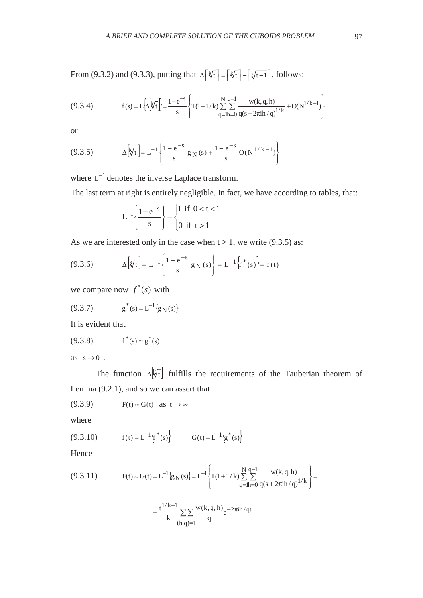From (9.3.2) and (9.3.3), putting that  $\Delta \left[\frac{k}{t}\right] = \left[\frac{k}{t}\right] - \left[\frac{k}{t-1}\right]$ , follows:

(9.3.4) 
$$
f(s) = L\left[\Delta\left[\sqrt[k]{t}\right]\right] = \frac{1 - e^{-s}}{s} \left\{ T(1 + 1/k) \sum_{q=h=0}^{N} \sum_{q(s+2\pi i h/q)}^{q-1} \frac{w(k,q,h)}{q^{s+k}} + O(N^{1/k-1}) \right\}
$$

or

$$
(9.3.5) \qquad \Delta \left[ \sqrt[k]{t} \right] = L^{-1} \left\{ \frac{1 - e^{-s}}{s} g_N(s) + \frac{1 - e^{-s}}{s} O(N^{1/k - 1}) \right\}
$$

where  $L^{-1}$  denotes the inverse Laplace transform.

The last term at right is entirely negligible. In fact, we have according to tables, that:

$$
L^{-1}\left\{\frac{1-e^{-s}}{s}\right\} = \begin{cases} 1 & \text{if } 0 < t < 1 \\ 0 & \text{if } t > 1 \end{cases}
$$

As we are interested only in the case when  $t > 1$ , we write (9.3.5) as:

(9.3.6) 
$$
\Delta \left[ k \sqrt{t} \right] = L^{-1} \left\{ \frac{1 - e^{-s}}{s} g_N(s) \right\} = L^{-1} \left\{ f^*(s) \right\} = f(t)
$$

we compare now  $f^*(s)$  with

$$
(9.3.7) \t\t g^*(s) = L^{-1}\{g_N(s)\}
$$

It is evident that

$$
(9.3.8) \t f^*(s) \approx g^*(s)
$$

as  $s \rightarrow 0$ .

The function  $\Delta \nvert \nvert$  fulfills the requirements of the Tauberian theorem of Lemma (9.2.1), and so we can assert that:

$$
(9.3.9) \tF(t) \approx G(t) \t as \t t \to \infty
$$

where

(9.3.10) 
$$
f(t) = L^{-1} \{f^*(s)\}
$$
  $G(t) = L^{-1} \{g^*(s)\}$ 

Hence

$$
(9.3.11) \tF(t) \approx G(t) = L^{-1} \{ g_N(s) \} = L^{-1} \left\{ T(1 + 1/k) \sum_{q=h=0}^{N} \sum_{q(s+2\pi i h/q)}^{q-1} \frac{w(k,q,h)}{q^s} \right\} =
$$

$$
=\frac{t^{1/k-1}}{k}\sum_{(h,q)=1}\frac{w(k,q,h)}{q}e^{-2\pi ih/qt}
$$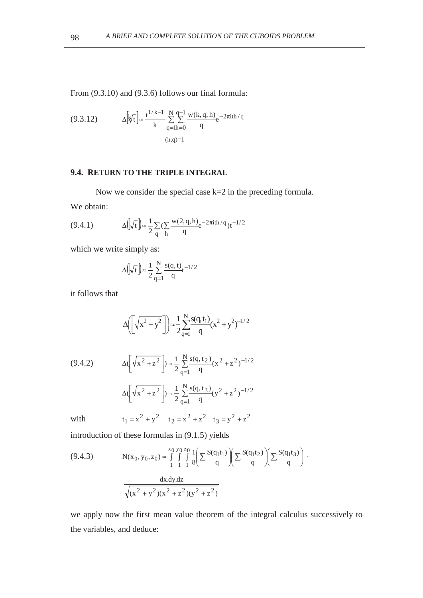From (9.3.10) and (9.3.6) follows our final formula:

(9.3.12) 
$$
\Delta \left[ k \sqrt{t} \right] \approx \frac{t^{1/k - 1}}{k} \sum_{q = lh = 0}^{N} \sum_{q}^{q - 1} \frac{w(k, q, h)}{q} e^{-2\pi i t h / q}
$$

$$
(h, q) = 1
$$

# **9.4. RETURN TO THE TRIPLE INTEGRAL**

Now we consider the special case k=2 in the preceding formula.

We obtain:

(9.4.1) 
$$
\Delta[\sqrt{t}]\approx \frac{1}{2}\sum_{q}\left(\sum_{h}\frac{w(2,q,h)}{q}e^{-2\pi i t h/q}\right)t^{-1/2}
$$

which we write simply as:

$$
\Delta\left(\!\!\left(\!\!\sqrt{t}\,\right)\!\!\right)\!\!\approx\!\frac{1}{2}\sum_{q=1}^N\frac{s(q,t)}{q}t^{-1/2}
$$

it follows that

$$
\Delta \left( \sqrt{x^2 + y^2} \right) \approx \frac{1}{2} \sum_{q=1}^{N} \frac{s(q, t_1)}{q} (x^2 + y^2)^{-1/2}
$$
  
(9.4.2) 
$$
\Delta \left( \sqrt{x^2 + z^2} \right) \approx \frac{1}{2} \sum_{q=1}^{N} \frac{s(q, t_2)}{q} (x^2 + z^2)^{-1/2}
$$

$$
\Delta \left( \sqrt{x^2 + z^2} \right) \approx \frac{1}{2} \sum_{q=1}^{N} \frac{s(q, t_3)}{q} (y^2 + z^2)^{-1/2}
$$

with  $t_1 = x^2 + y^2$   $t_2 = x^2 + z^2$   $t_3 = y^2 + z^2$ 

introduction of these formulas in (9.1.5) yields

(9.4.3) 
$$
N(x_0, y_0, z_0) \approx \int_{1}^{x_0} \int_{1}^{y_0} \frac{1}{8} \left( \sum \frac{S(q_1 t_1)}{q} \right) \left( \sum \frac{S(q_1 t_2)}{q} \right) \left( \sum \frac{S(q_1 t_3)}{q} \right) \cdot \frac{dx. dy. dz}{\sqrt{(x^2 + y^2)(x^2 + z^2)(y^2 + z^2)}}
$$

we apply now the first mean value theorem of the integral calculus successively to the variables, and deduce: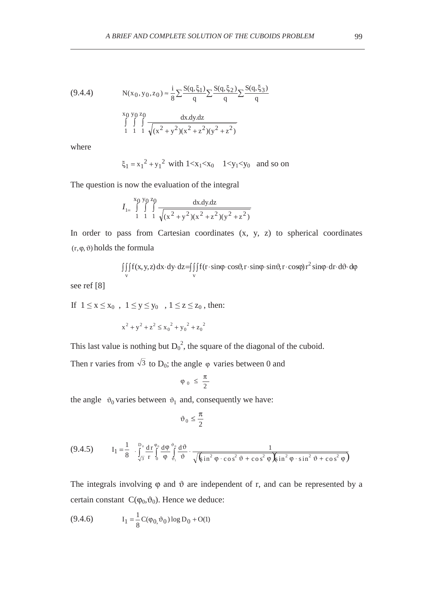$$
(9.4.4) \tN(x_0, y_0, z_0) \approx \frac{i}{8} \sum \frac{S(q, \xi_1)}{q} \sum \frac{S(q, \xi_2)}{q} \sum \frac{S(q, \xi_3)}{q}
$$
  

$$
\int_{1}^{x_0} \int_{1}^{y_0} \int_{1}^{z_0} \frac{dx \,dy \,dz}{\sqrt{(x^2 + y^2)(x^2 + z^2)(y^2 + z^2)}}
$$

where

 $\xi_1 = x_1^2 + y_1^2$  with  $1 < x_1 < x_0$   $1 < y_1 < y_0$  and so on

The question is now the evaluation of the integral

$$
I_{1=}\int_{1}^{x_0} \int_{1}^{y_0} \int_{1}^{z_0} \frac{dx \,dy.dz}{\sqrt{(x^2+y^2)(x^2+z^2)(y^2+z^2)}}
$$

In order to pass from Cartesian coordinates (x, y, z) to spherical coordinates  $(r, \varphi, \vartheta)$  holds the formula

> $\iiint f(x, y, z) dx \cdot dy \cdot dz = \iiint f(r \cdot \sin \varphi \cdot \cos \vartheta, r \cdot \sin \varphi \cdot \sin \vartheta, r \cdot \cos \varphi) r^2 \sin \varphi \cdot dr \cdot d\vartheta$ v 2 v  $f(x, y, z) dx dy dz = \int \int \int f(r \cdot \sin \varphi \cdot \cos \vartheta, r \cdot \sin \varphi \cdot \sin \vartheta, r \cdot \cos \varphi) r^2 \sin \varphi dr d\vartheta d\varphi$

see ref [8]

If  $1 \le x \le x_0$ ,  $1 \le y \le y_0$ ,  $1 \le z \le z_0$ , then:

 $x^{2} + y^{2} + z^{2} \le x_{0}^{2} + y_{0}^{2} + z_{0}^{2}$ 

This last value is nothing but  $D_0^2$ , the square of the diagonal of the cuboid.

Then r varies from  $\sqrt{3}$  to D<sub>0</sub>; the angle  $\varphi$  varies between 0 and

$$
\phi_0 \leq \frac{\pi}{2}
$$

the angle  $\vartheta_0$  varies between  $\vartheta_1$  and, consequently we have:

$$
\vartheta_0\leq \frac{\pi}{2}
$$

$$
(9.4.5) \tI1 = \frac{1}{8} \cdot \int_{\sqrt{3}}^{D_0} \frac{d\mathbf{r}}{r} \int_{0}^{\phi_0} \frac{d\phi}{\phi} \int_{\phi_1}^{\phi_0} \frac{d\vartheta}{\vartheta} \cdot \frac{d\vartheta}{\sqrt{\sin^2 \phi \cdot \cos^2 \theta + \cos^2 \phi} \sin^2 \phi \cdot \sin^2 \theta + \cos^2 \phi}
$$

The integrals involving  $\varphi$  and  $\vartheta$  are independent of r, and can be represented by a certain constant  $C(\varphi_0, \vartheta_0)$ . Hence we deduce:

(9.4.6) 
$$
I_1 = \frac{1}{8}C(\varphi_0, \vartheta_0) \log D_0 + O(1)
$$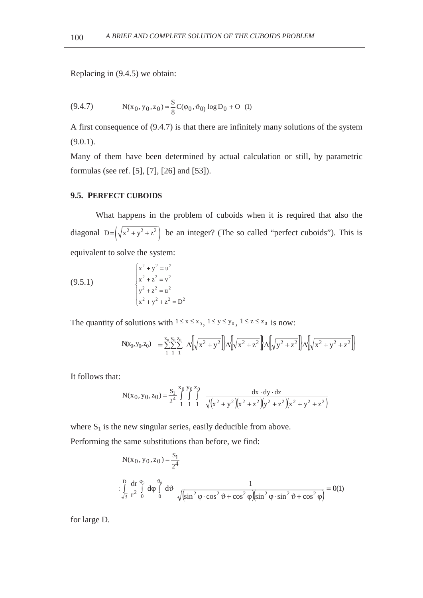Replacing in (9.4.5) we obtain:

$$
(9.4.7) \tN(x_0, y_0, z_0) \approx \frac{S}{8}C(\varphi_0, \vartheta_0) \log D_0 + O (1)
$$

A first consequence of (9.4.7) is that there are infinitely many solutions of the system  $(9.0.1)$ .

Many of them have been determined by actual calculation or still, by parametric formulas (see ref. [5], [7], [26] and [53]).

#### **9.5. PERFECT CUBOIDS**

What happens in the problem of cuboids when it is required that also the diagonal  $D = (\sqrt{x^2 + y^2 + z^2})$  be an integer? (The so called "perfect cuboids"). This is equivalent to solve the system:

(9.5.1) 
$$
\begin{cases} x^2 + y^2 = u^2 \\ x^2 + z^2 = v^2 \\ y^2 + z^2 = u^2 \\ x^2 + y^2 + z^2 = D^2 \end{cases}
$$

The quantity of solutions with  $1 \le x \le x_0$ ,  $1 \le y \le y_0$ ,  $1 \le z \le z_0$  is now:

$$
N(x_0, y_0, z_0) = \sum_{1}^{x_0} \sum_{1}^{y_0} \sum_{1}^{z_0} \Delta \left[ \sqrt{x^2 + y^2} \right] \Delta \left[ \sqrt{x^2 + z^2} \right] \Delta \left[ \sqrt{y^2 + z^2} \right] \Delta \left[ \sqrt{x^2 + y^2 + z^2} \right]
$$

It follows that:

$$
N(x_0, y_0, z_0) = \frac{S_1}{2^4} \int_{1}^{x_0} \int_{1}^{y_0} \int_{1}^{z_0} \frac{dx \cdot dy \cdot dz}{\sqrt{(x^2 + y^2)(x^2 + z^2)(y^2 + z^2)(x^2 + y^2 + z^2)}}
$$

where  $S_1$  is the new singular series, easily deducible from above.

Performing the same substitutions than before, we find:

$$
N(x_0, y_0, z_0) = \frac{S_1}{2^4}
$$
  

$$
\int_{\sqrt{3}}^{D} \frac{dr}{r^2} \int_{0}^{\varphi_0} d\varphi \int_{0}^{\varphi_0} d\vartheta \frac{1}{\sqrt{\sin^2 \varphi \cdot \cos^2 \vartheta + \cos^2 \varphi \left(\sin^2 \varphi \cdot \sin^2 \vartheta + \cos^2 \varphi\right)}} = O(1)
$$

for large D.